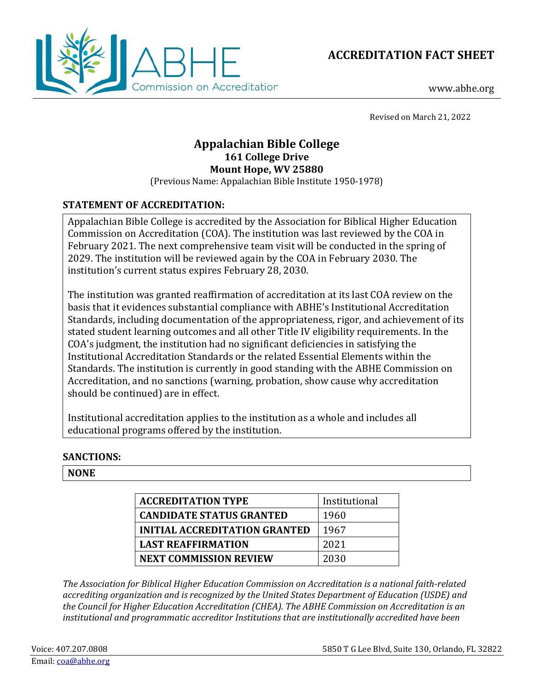

**ACCREDITATION FACT SHEET**

www.abhe.org

Revised on March 21, 2022

# **Appalachian Bible College 161 College Drive Mount Hope, WV 25880**

(Previous Name: Appalachian Bible Institute 1950-1978)

## **STATEMENT OF ACCREDITATION:**

Appalachian Bible College is accredited by the Association for Biblical Higher Education Commission on Accreditation (COA). The institution was last reviewed by the COA in February 2021. The next comprehensive team visit will be conducted in the spring of 2029. The institution will be reviewed again by the COA in February 2030. The institution's current status expires February 28, 2030.

The institution was granted reaffirmation of accreditation at its last COA review on the basis that it evidences substantial compliance with ABHE's Institutional Accreditation Standards, including documentation of the appropriateness, rigor, and achievement of its stated student learning outcomes and all other Title IV eligibility requirements. In the COA's judgment, the institution had no significant deficiencies in satisfying the Institutional Accreditation Standards or the related Essential Elements within the Standards. The institution is currently in good standing with the ABHE Commission on Accreditation, and no sanctions (warning, probation, show cause why accreditation should be continued) are in effect.

Institutional accreditation applies to the institution as a whole and includes all educational programs offered by the institution.

### **SANCTIONS:**

### **NONE**

| <b>ACCREDITATION TYPE</b>            | Institutional |
|--------------------------------------|---------------|
| <b>CANDIDATE STATUS GRANTED</b>      | 1960          |
| <b>INITIAL ACCREDITATION GRANTED</b> | 1967          |
| <b>LAST REAFFIRMATION</b>            | 2021          |
| <b>NEXT COMMISSION REVIEW</b>        | 2030          |

*The Association for Biblical Higher Education Commission on Accreditation is a national faith-related accrediting organization and is recognized by the United States Department of Education (USDE) and the Council for Higher Education Accreditation (CHEA). The ABHE Commission on Accreditation is an institutional and programmatic accreditor Institutions that are institutionally accredited have been*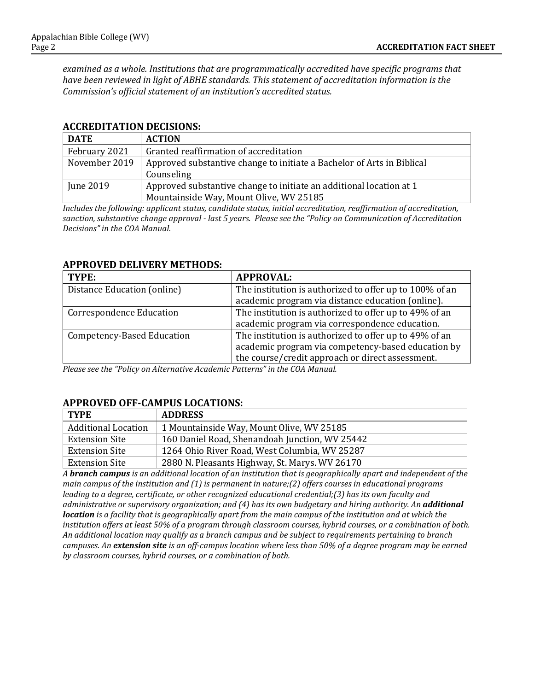*examined as a whole. Institutions that are programmatically accredited have specific programs that have been reviewed in light of ABHE standards. This statement of accreditation information is the Commission's official statement of an institution's accredited status.*

### **ACCREDITATION DECISIONS:**

| <b>DATE</b>   | <b>ACTION</b>                                                          |
|---------------|------------------------------------------------------------------------|
| February 2021 | Granted reaffirmation of accreditation                                 |
| November 2019 | Approved substantive change to initiate a Bachelor of Arts in Biblical |
|               | Counseling                                                             |
| June 2019     | Approved substantive change to initiate an additional location at 1    |
|               | Mountainside Way, Mount Olive, WV 25185                                |

*Includes the following: applicant status, candidate status, initial accreditation, reaffirmation of accreditation, sanction, substantive change approval - last 5 years. Please see the "Policy on Communication of Accreditation Decisions" in the COA Manual.*

#### **APPROVED DELIVERY METHODS:**

| TYPE:                             | <b>APPROVAL:</b>                                                                                                                                                 |
|-----------------------------------|------------------------------------------------------------------------------------------------------------------------------------------------------------------|
| Distance Education (online)       | The institution is authorized to offer up to 100% of an<br>academic program via distance education (online).                                                     |
| <b>Correspondence Education</b>   | The institution is authorized to offer up to 49% of an<br>academic program via correspondence education.                                                         |
| <b>Competency-Based Education</b> | The institution is authorized to offer up to 49% of an<br>academic program via competency-based education by<br>the course/credit approach or direct assessment. |

*Please see the "Policy on Alternative Academic Patterns" in the COA Manual.*

### **APPROVED OFF-CAMPUS LOCATIONS:**

| TYPE                       | <b>ADDRESS</b>                                 |
|----------------------------|------------------------------------------------|
| <b>Additional Location</b> | 1 Mountainside Way, Mount Olive, WV 25185      |
| <b>Extension Site</b>      | 160 Daniel Road, Shenandoah Junction, WV 25442 |
| <b>Extension Site</b>      | 1264 Ohio River Road, West Columbia, WV 25287  |
| Extension Site             | 2880 N. Pleasants Highway, St. Marys. WV 26170 |

*A branch campus is an additional location of an institution that is geographically apart and independent of the main campus of the institution and (1) is permanent in nature;(2) offers courses in educational programs leading to a degree, certificate, or other recognized educational credential;(3) has its own faculty and administrative or supervisory organization; and (4) has its own budgetary and hiring authority. An additional location is a facility that is geographically apart from the main campus of the institution and at which the institution offers at least 50% of a program through classroom courses, hybrid courses, or a combination of both. An additional location may qualify as a branch campus and be subject to requirements pertaining to branch campuses. An extension site is an off-campus location where less than 50% of a degree program may be earned by classroom courses, hybrid courses, or a combination of both.*